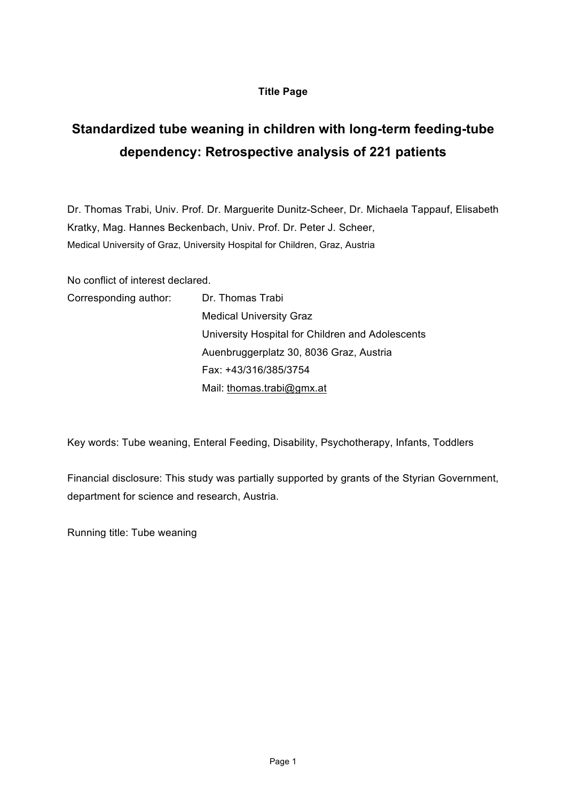# **Title Page**

# **Standardized tube weaning in children with long-term feeding-tube dependency: Retrospective analysis of 221 patients**

Dr. Thomas Trabi, Univ. Prof. Dr. Marguerite Dunitz-Scheer, Dr. Michaela Tappauf, Elisabeth Kratky, Mag. Hannes Beckenbach, Univ. Prof. Dr. Peter J. Scheer, Medical University of Graz, University Hospital for Children, Graz, Austria

No conflict of interest declared.

| Corresponding author: | Dr. Thomas Trabi                                 |
|-----------------------|--------------------------------------------------|
|                       | <b>Medical University Graz</b>                   |
|                       | University Hospital for Children and Adolescents |
|                       | Auenbruggerplatz 30, 8036 Graz, Austria          |
|                       | Fax: +43/316/385/3754                            |
|                       | Mail: thomas.trabi@gmx.at                        |

Key words: Tube weaning, Enteral Feeding, Disability, Psychotherapy, Infants, Toddlers

Financial disclosure: This study was partially supported by grants of the Styrian Government, department for science and research, Austria.

Running title: Tube weaning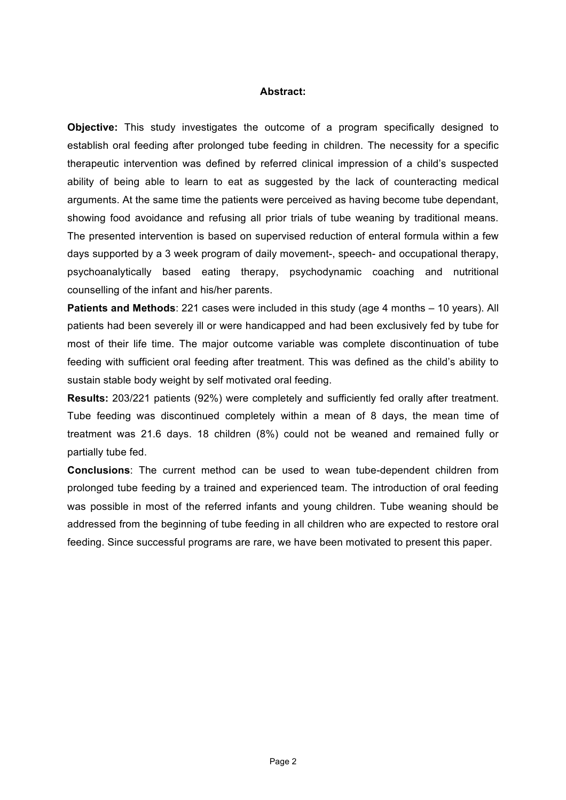#### **Abstract:**

**Objective:** This study investigates the outcome of a program specifically designed to establish oral feeding after prolonged tube feeding in children. The necessity for a specific therapeutic intervention was defined by referred clinical impression of a child's suspected ability of being able to learn to eat as suggested by the lack of counteracting medical arguments. At the same time the patients were perceived as having become tube dependant, showing food avoidance and refusing all prior trials of tube weaning by traditional means. The presented intervention is based on supervised reduction of enteral formula within a few days supported by a 3 week program of daily movement-, speech- and occupational therapy, psychoanalytically based eating therapy, psychodynamic coaching and nutritional counselling of the infant and his/her parents.

**Patients and Methods**: 221 cases were included in this study (age 4 months – 10 years). All patients had been severely ill or were handicapped and had been exclusively fed by tube for most of their life time. The major outcome variable was complete discontinuation of tube feeding with sufficient oral feeding after treatment. This was defined as the child's ability to sustain stable body weight by self motivated oral feeding.

**Results:** 203/221 patients (92%) were completely and sufficiently fed orally after treatment. Tube feeding was discontinued completely within a mean of 8 days, the mean time of treatment was 21.6 days. 18 children (8%) could not be weaned and remained fully or partially tube fed.

**Conclusions**: The current method can be used to wean tube-dependent children from prolonged tube feeding by a trained and experienced team. The introduction of oral feeding was possible in most of the referred infants and young children. Tube weaning should be addressed from the beginning of tube feeding in all children who are expected to restore oral feeding. Since successful programs are rare, we have been motivated to present this paper.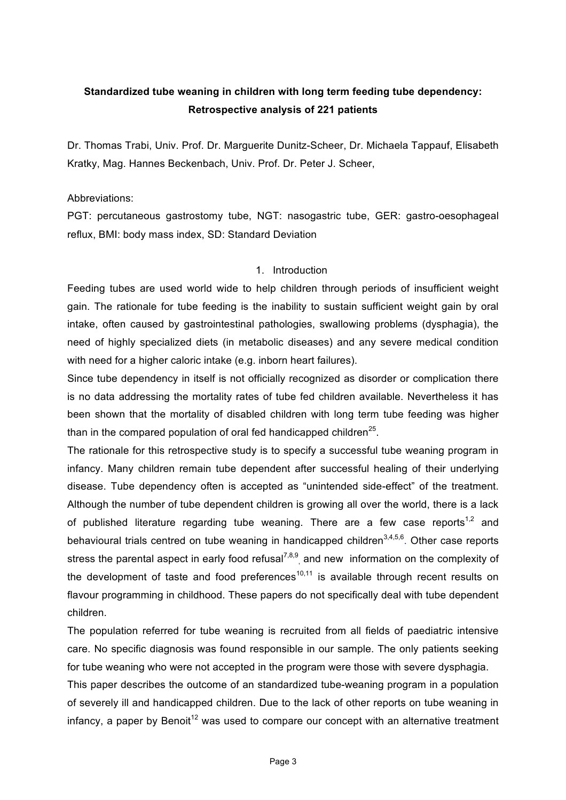# **Standardized tube weaning in children with long term feeding tube dependency: Retrospective analysis of 221 patients**

Dr. Thomas Trabi, Univ. Prof. Dr. Marguerite Dunitz-Scheer, Dr. Michaela Tappauf, Elisabeth Kratky, Mag. Hannes Beckenbach, Univ. Prof. Dr. Peter J. Scheer,

Abbreviations:

PGT: percutaneous gastrostomy tube, NGT: nasogastric tube, GER: gastro-oesophageal reflux, BMI: body mass index, SD: Standard Deviation

# 1. Introduction

Feeding tubes are used world wide to help children through periods of insufficient weight gain. The rationale for tube feeding is the inability to sustain sufficient weight gain by oral intake, often caused by gastrointestinal pathologies, swallowing problems (dysphagia), the need of highly specialized diets (in metabolic diseases) and any severe medical condition with need for a higher caloric intake (e.g. inborn heart failures).

Since tube dependency in itself is not officially recognized as disorder or complication there is no data addressing the mortality rates of tube fed children available. Nevertheless it has been shown that the mortality of disabled children with long term tube feeding was higher than in the compared population of oral fed handicapped children<sup>25</sup>.

The rationale for this retrospective study is to specify a successful tube weaning program in infancy. Many children remain tube dependent after successful healing of their underlying disease. Tube dependency often is accepted as "unintended side-effect" of the treatment. Although the number of tube dependent children is growing all over the world, there is a lack of published literature regarding tube weaning. There are a few case reports<sup>1,2</sup> and behavioural trials centred on tube weaning in handicapped children<sup>3,4,5,6</sup>. Other case reports stress the parental aspect in early food refusal<sup>7,8,9</sup>, and new information on the complexity of the development of taste and food preferences<sup>10,11</sup> is available through recent results on flavour programming in childhood. These papers do not specifically deal with tube dependent children.

The population referred for tube weaning is recruited from all fields of paediatric intensive care. No specific diagnosis was found responsible in our sample. The only patients seeking for tube weaning who were not accepted in the program were those with severe dysphagia.

This paper describes the outcome of an standardized tube-weaning program in a population of severely ill and handicapped children. Due to the lack of other reports on tube weaning in  $infancy$ . a paper by Benoit<sup>12</sup> was used to compare our concept with an alternative treatment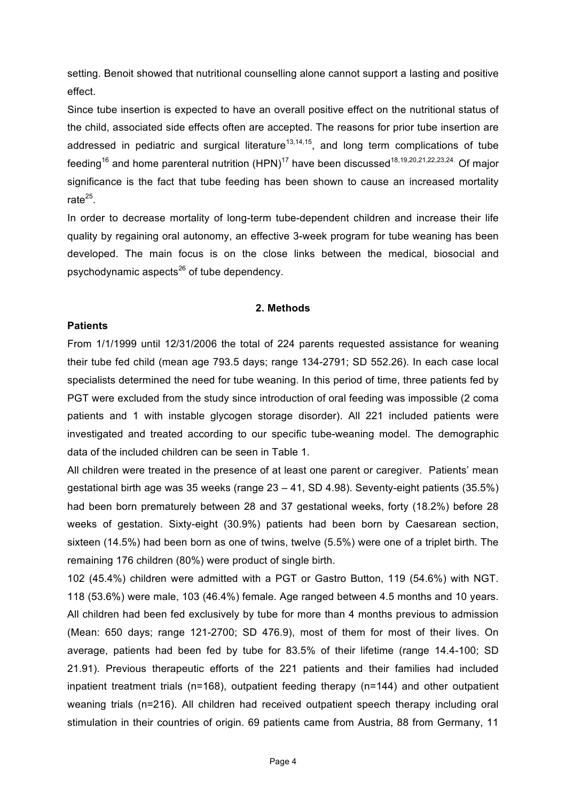setting. Benoit showed that nutritional counselling alone cannot support a lasting and positive effect.

Since tube insertion is expected to have an overall positive effect on the nutritional status of the child, associated side effects often are accepted. The reasons for prior tube insertion are addressed in pediatric and surgical literature<sup>13,14,15</sup>, and long term complications of tube feeding<sup>16</sup> and home parenteral nutrition  $(HPN)^{17}$  have been discussed<sup>18,19,20,21,22,23,24.</sup> Of major significance is the fact that tube feeding has been shown to cause an increased mortality rate $^{25}$ .

In order to decrease mortality of long-term tube-dependent children and increase their life quality by regaining oral autonomy, an effective 3-week program for tube weaning has been developed. The main focus is on the close links between the medical, biosocial and psychodynamic aspects<sup>26</sup> of tube dependency.

#### **2. Methods**

# **Patients**

From 1/1/1999 until 12/31/2006 the total of 224 parents requested assistance for weaning their tube fed child (mean age 793.5 days; range 134-2791; SD 552.26). In each case local specialists determined the need for tube weaning. In this period of time, three patients fed by PGT were excluded from the study since introduction of oral feeding was impossible (2 coma patients and 1 with instable glycogen storage disorder). All 221 included patients were investigated and treated according to our specific tube-weaning model. The demographic data of the included children can be seen in Table 1.

All children were treated in the presence of at least one parent or caregiver. Patients' mean gestational birth age was 35 weeks (range 23 – 41, SD 4.98). Seventy-eight patients (35.5%) had been born prematurely between 28 and 37 gestational weeks, forty (18.2%) before 28 weeks of gestation. Sixty-eight (30.9%) patients had been born by Caesarean section, sixteen (14.5%) had been born as one of twins, twelve (5.5%) were one of a triplet birth. The remaining 176 children (80%) were product of single birth.

102 (45.4%) children were admitted with a PGT or Gastro Button, 119 (54.6%) with NGT. 118 (53.6%) were male, 103 (46.4%) female. Age ranged between 4.5 months and 10 years. All children had been fed exclusively by tube for more than 4 months previous to admission (Mean: 650 days; range 121-2700; SD 476.9), most of them for most of their lives. On average, patients had been fed by tube for 83.5% of their lifetime (range 14.4-100; SD 21.91). Previous therapeutic efforts of the 221 patients and their families had included inpatient treatment trials (n=168), outpatient feeding therapy (n=144) and other outpatient weaning trials (n=216). All children had received outpatient speech therapy including oral stimulation in their countries of origin. 69 patients came from Austria, 88 from Germany, 11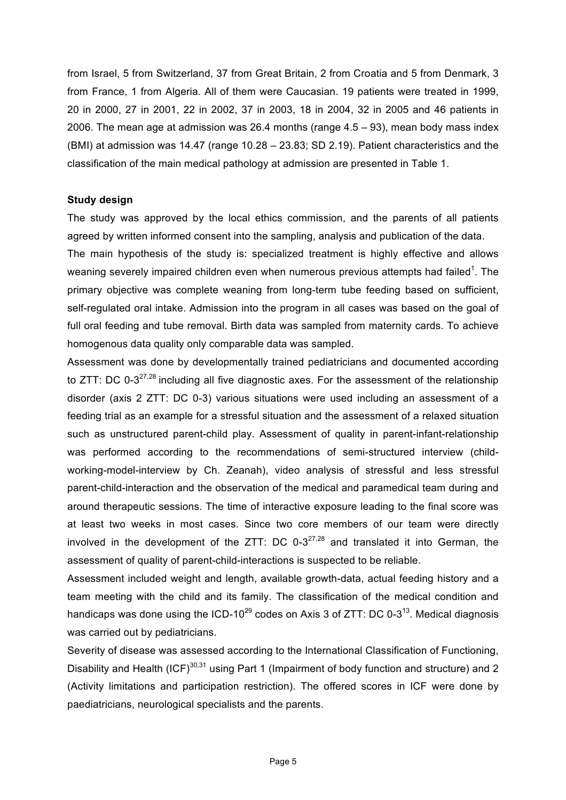from Israel, 5 from Switzerland, 37 from Great Britain, 2 from Croatia and 5 from Denmark, 3 from France, 1 from Algeria. All of them were Caucasian. 19 patients were treated in 1999, 20 in 2000, 27 in 2001, 22 in 2002, 37 in 2003, 18 in 2004, 32 in 2005 and 46 patients in 2006. The mean age at admission was 26.4 months (range 4.5 – 93), mean body mass index (BMI) at admission was 14.47 (range 10.28 – 23.83; SD 2.19). Patient characteristics and the classification of the main medical pathology at admission are presented in Table 1.

# **Study design**

The study was approved by the local ethics commission, and the parents of all patients agreed by written informed consent into the sampling, analysis and publication of the data. The main hypothesis of the study is: specialized treatment is highly effective and allows weaning severely impaired children even when numerous previous attempts had failed<sup>1</sup>. The primary objective was complete weaning from long-term tube feeding based on sufficient, self-regulated oral intake. Admission into the program in all cases was based on the goal of full oral feeding and tube removal. Birth data was sampled from maternity cards. To achieve homogenous data quality only comparable data was sampled.

Assessment was done by developmentally trained pediatricians and documented according to ZTT: DC 0-3<sup>27,28</sup> including all five diagnostic axes. For the assessment of the relationship disorder (axis 2 ZTT: DC 0-3) various situations were used including an assessment of a feeding trial as an example for a stressful situation and the assessment of a relaxed situation such as unstructured parent-child play. Assessment of quality in parent-infant-relationship was performed according to the recommendations of semi-structured interview (childworking-model-interview by Ch. Zeanah), video analysis of stressful and less stressful parent-child-interaction and the observation of the medical and paramedical team during and around therapeutic sessions. The time of interactive exposure leading to the final score was at least two weeks in most cases. Since two core members of our team were directly involved in the development of the ZTT: DC  $0-3^{27,28}$  and translated it into German, the assessment of quality of parent-child-interactions is suspected to be reliable.

Assessment included weight and length, available growth-data, actual feeding history and a team meeting with the child and its family. The classification of the medical condition and handicaps was done using the ICD-10<sup>29</sup> codes on Axis 3 of ZTT: DC 0-3<sup>13</sup>. Medical diagnosis was carried out by pediatricians.

Severity of disease was assessed according to the International Classification of Functioning, Disability and Health  $(ICF)^{30,31}$  using Part 1 (Impairment of body function and structure) and 2 (Activity limitations and participation restriction). The offered scores in ICF were done by paediatricians, neurological specialists and the parents.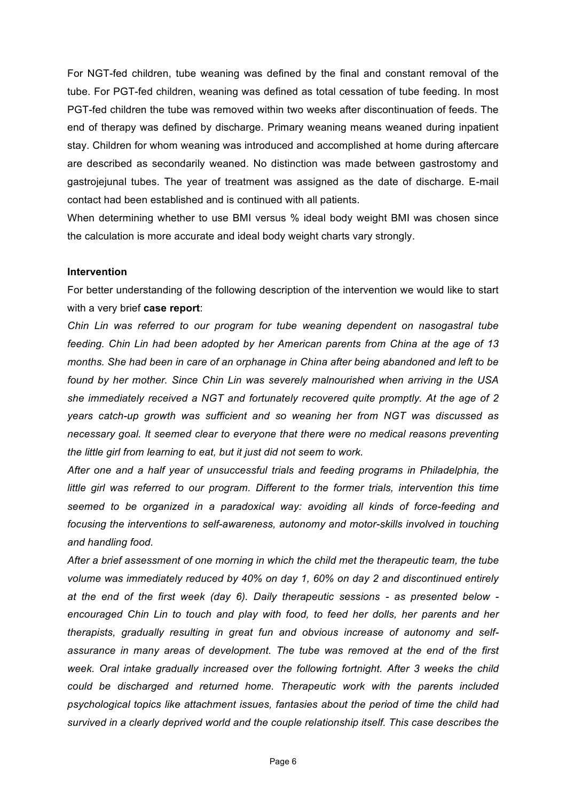For NGT-fed children, tube weaning was defined by the final and constant removal of the tube. For PGT-fed children, weaning was defined as total cessation of tube feeding. In most PGT-fed children the tube was removed within two weeks after discontinuation of feeds. The end of therapy was defined by discharge. Primary weaning means weaned during inpatient stay. Children for whom weaning was introduced and accomplished at home during aftercare are described as secondarily weaned. No distinction was made between gastrostomy and gastrojejunal tubes. The year of treatment was assigned as the date of discharge. E-mail contact had been established and is continued with all patients.

When determining whether to use BMI versus % ideal body weight BMI was chosen since the calculation is more accurate and ideal body weight charts vary strongly.

#### **Intervention**

For better understanding of the following description of the intervention we would like to start with a very brief **case report**:

*Chin Lin was referred to our program for tube weaning dependent on nasogastral tube feeding. Chin Lin had been adopted by her American parents from China at the age of 13 months. She had been in care of an orphanage in China after being abandoned and left to be found by her mother. Since Chin Lin was severely malnourished when arriving in the USA she immediately received a NGT and fortunately recovered quite promptly. At the age of 2 years catch-up growth was sufficient and so weaning her from NGT was discussed as necessary goal. It seemed clear to everyone that there were no medical reasons preventing the little girl from learning to eat, but it just did not seem to work.* 

*After one and a half year of unsuccessful trials and feeding programs in Philadelphia, the little girl was referred to our program. Different to the former trials, intervention this time seemed to be organized in a paradoxical way: avoiding all kinds of force-feeding and focusing the interventions to self-awareness, autonomy and motor-skills involved in touching and handling food.* 

*After a brief assessment of one morning in which the child met the therapeutic team, the tube volume was immediately reduced by 40% on day 1, 60% on day 2 and discontinued entirely at the end of the first week (day 6). Daily therapeutic sessions - as presented below encouraged Chin Lin to touch and play with food, to feed her dolls, her parents and her therapists, gradually resulting in great fun and obvious increase of autonomy and selfassurance in many areas of development. The tube was removed at the end of the first week. Oral intake gradually increased over the following fortnight. After 3 weeks the child could be discharged and returned home. Therapeutic work with the parents included psychological topics like attachment issues, fantasies about the period of time the child had survived in a clearly deprived world and the couple relationship itself. This case describes the*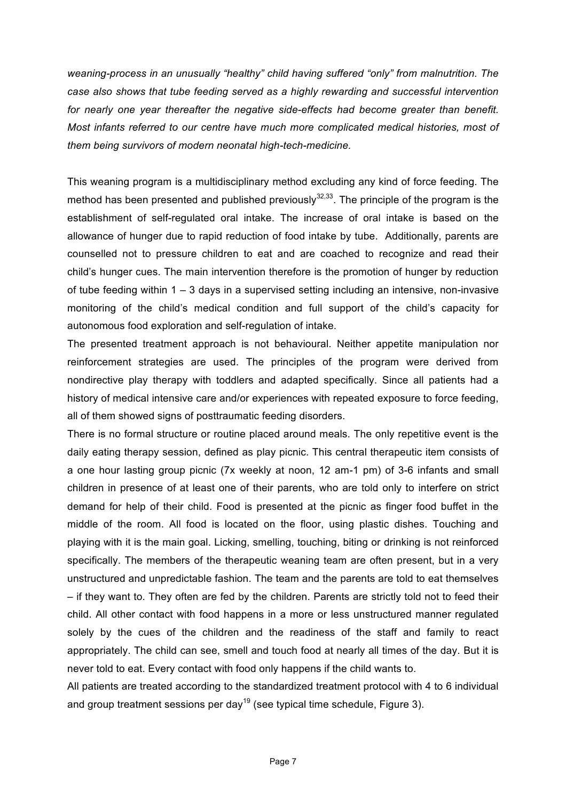*weaning-process in an unusually "healthy" child having suffered "only" from malnutrition. The case also shows that tube feeding served as a highly rewarding and successful intervention for nearly one year thereafter the negative side-effects had become greater than benefit. Most infants referred to our centre have much more complicated medical histories, most of them being survivors of modern neonatal high-tech-medicine.* 

This weaning program is a multidisciplinary method excluding any kind of force feeding. The method has been presented and published previously<sup>32,33</sup>. The principle of the program is the establishment of self-regulated oral intake. The increase of oral intake is based on the allowance of hunger due to rapid reduction of food intake by tube. Additionally, parents are counselled not to pressure children to eat and are coached to recognize and read their child's hunger cues. The main intervention therefore is the promotion of hunger by reduction of tube feeding within 1 – 3 days in a supervised setting including an intensive, non-invasive monitoring of the child's medical condition and full support of the child's capacity for autonomous food exploration and self-regulation of intake.

The presented treatment approach is not behavioural. Neither appetite manipulation nor reinforcement strategies are used. The principles of the program were derived from nondirective play therapy with toddlers and adapted specifically. Since all patients had a history of medical intensive care and/or experiences with repeated exposure to force feeding, all of them showed signs of posttraumatic feeding disorders.

There is no formal structure or routine placed around meals. The only repetitive event is the daily eating therapy session, defined as play picnic. This central therapeutic item consists of a one hour lasting group picnic (7x weekly at noon, 12 am-1 pm) of 3-6 infants and small children in presence of at least one of their parents, who are told only to interfere on strict demand for help of their child. Food is presented at the picnic as finger food buffet in the middle of the room. All food is located on the floor, using plastic dishes. Touching and playing with it is the main goal. Licking, smelling, touching, biting or drinking is not reinforced specifically. The members of the therapeutic weaning team are often present, but in a very unstructured and unpredictable fashion. The team and the parents are told to eat themselves – if they want to. They often are fed by the children. Parents are strictly told not to feed their child. All other contact with food happens in a more or less unstructured manner regulated solely by the cues of the children and the readiness of the staff and family to react appropriately. The child can see, smell and touch food at nearly all times of the day. But it is never told to eat. Every contact with food only happens if the child wants to.

All patients are treated according to the standardized treatment protocol with 4 to 6 individual and group treatment sessions per day<sup>19</sup> (see typical time schedule, Figure 3).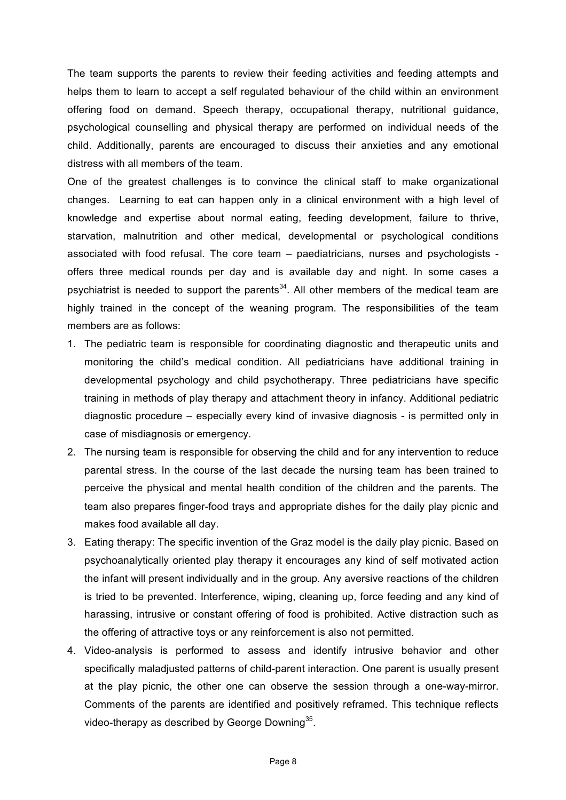The team supports the parents to review their feeding activities and feeding attempts and helps them to learn to accept a self regulated behaviour of the child within an environment offering food on demand. Speech therapy, occupational therapy, nutritional guidance, psychological counselling and physical therapy are performed on individual needs of the child. Additionally, parents are encouraged to discuss their anxieties and any emotional distress with all members of the team.

One of the greatest challenges is to convince the clinical staff to make organizational changes. Learning to eat can happen only in a clinical environment with a high level of knowledge and expertise about normal eating, feeding development, failure to thrive, starvation, malnutrition and other medical, developmental or psychological conditions associated with food refusal. The core team – paediatricians, nurses and psychologists offers three medical rounds per day and is available day and night. In some cases a psychiatrist is needed to support the parents<sup>34</sup>. All other members of the medical team are highly trained in the concept of the weaning program. The responsibilities of the team members are as follows:

- 1. The pediatric team is responsible for coordinating diagnostic and therapeutic units and monitoring the child's medical condition. All pediatricians have additional training in developmental psychology and child psychotherapy. Three pediatricians have specific training in methods of play therapy and attachment theory in infancy. Additional pediatric diagnostic procedure – especially every kind of invasive diagnosis - is permitted only in case of misdiagnosis or emergency.
- 2. The nursing team is responsible for observing the child and for any intervention to reduce parental stress. In the course of the last decade the nursing team has been trained to perceive the physical and mental health condition of the children and the parents. The team also prepares finger-food trays and appropriate dishes for the daily play picnic and makes food available all day.
- 3. Eating therapy: The specific invention of the Graz model is the daily play picnic. Based on psychoanalytically oriented play therapy it encourages any kind of self motivated action the infant will present individually and in the group. Any aversive reactions of the children is tried to be prevented. Interference, wiping, cleaning up, force feeding and any kind of harassing, intrusive or constant offering of food is prohibited. Active distraction such as the offering of attractive toys or any reinforcement is also not permitted.
- 4. Video-analysis is performed to assess and identify intrusive behavior and other specifically maladjusted patterns of child-parent interaction. One parent is usually present at the play picnic, the other one can observe the session through a one-way-mirror. Comments of the parents are identified and positively reframed. This technique reflects video-therapy as described by George Downing<sup>35</sup>.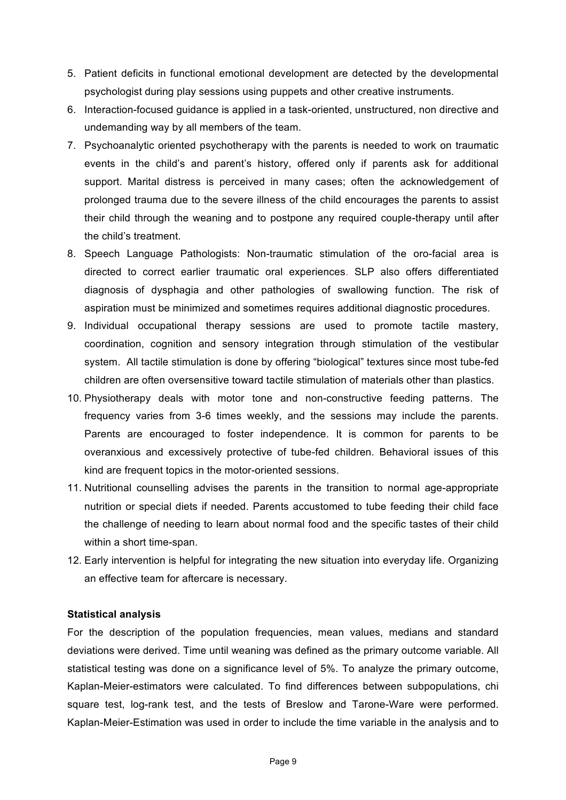- 5. Patient deficits in functional emotional development are detected by the developmental psychologist during play sessions using puppets and other creative instruments.
- 6. Interaction-focused guidance is applied in a task-oriented, unstructured, non directive and undemanding way by all members of the team.
- 7. Psychoanalytic oriented psychotherapy with the parents is needed to work on traumatic events in the child's and parent's history, offered only if parents ask for additional support. Marital distress is perceived in many cases; often the acknowledgement of prolonged trauma due to the severe illness of the child encourages the parents to assist their child through the weaning and to postpone any required couple-therapy until after the child's treatment.
- 8. Speech Language Pathologists: Non-traumatic stimulation of the oro-facial area is directed to correct earlier traumatic oral experiences. SLP also offers differentiated diagnosis of dysphagia and other pathologies of swallowing function. The risk of aspiration must be minimized and sometimes requires additional diagnostic procedures.
- 9. Individual occupational therapy sessions are used to promote tactile mastery, coordination, cognition and sensory integration through stimulation of the vestibular system. All tactile stimulation is done by offering "biological" textures since most tube-fed children are often oversensitive toward tactile stimulation of materials other than plastics.
- 10. Physiotherapy deals with motor tone and non-constructive feeding patterns. The frequency varies from 3-6 times weekly, and the sessions may include the parents. Parents are encouraged to foster independence. It is common for parents to be overanxious and excessively protective of tube-fed children. Behavioral issues of this kind are frequent topics in the motor-oriented sessions.
- 11. Nutritional counselling advises the parents in the transition to normal age-appropriate nutrition or special diets if needed. Parents accustomed to tube feeding their child face the challenge of needing to learn about normal food and the specific tastes of their child within a short time-span.
- 12. Early intervention is helpful for integrating the new situation into everyday life. Organizing an effective team for aftercare is necessary.

# **Statistical analysis**

For the description of the population frequencies, mean values, medians and standard deviations were derived. Time until weaning was defined as the primary outcome variable. All statistical testing was done on a significance level of 5%. To analyze the primary outcome, Kaplan-Meier-estimators were calculated. To find differences between subpopulations, chi square test, log-rank test, and the tests of Breslow and Tarone-Ware were performed. Kaplan-Meier-Estimation was used in order to include the time variable in the analysis and to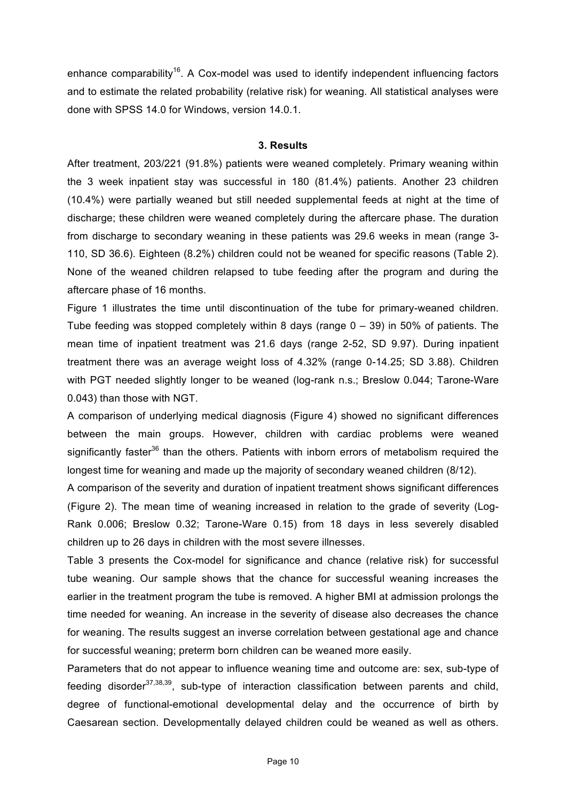enhance comparability<sup>16</sup>. A Cox-model was used to identify independent influencing factors and to estimate the related probability (relative risk) for weaning. All statistical analyses were done with SPSS 14.0 for Windows, version 14.0.1.

#### **3. Results**

After treatment, 203/221 (91.8%) patients were weaned completely. Primary weaning within the 3 week inpatient stay was successful in 180 (81.4%) patients. Another 23 children (10.4%) were partially weaned but still needed supplemental feeds at night at the time of discharge; these children were weaned completely during the aftercare phase. The duration from discharge to secondary weaning in these patients was 29.6 weeks in mean (range 3- 110, SD 36.6). Eighteen (8.2%) children could not be weaned for specific reasons (Table 2). None of the weaned children relapsed to tube feeding after the program and during the aftercare phase of 16 months.

Figure 1 illustrates the time until discontinuation of the tube for primary-weaned children. Tube feeding was stopped completely within 8 days (range 0 – 39) in 50% of patients. The mean time of inpatient treatment was 21.6 days (range 2-52, SD 9.97). During inpatient treatment there was an average weight loss of 4.32% (range 0-14.25; SD 3.88). Children with PGT needed slightly longer to be weaned (log-rank n.s.; Breslow 0.044; Tarone-Ware 0.043) than those with NGT.

A comparison of underlying medical diagnosis (Figure 4) showed no significant differences between the main groups. However, children with cardiac problems were weaned significantly faster<sup>36</sup> than the others. Patients with inborn errors of metabolism required the longest time for weaning and made up the majority of secondary weaned children (8/12).

A comparison of the severity and duration of inpatient treatment shows significant differences (Figure 2). The mean time of weaning increased in relation to the grade of severity (Log-Rank 0.006; Breslow 0.32; Tarone-Ware 0.15) from 18 days in less severely disabled children up to 26 days in children with the most severe illnesses.

Table 3 presents the Cox-model for significance and chance (relative risk) for successful tube weaning. Our sample shows that the chance for successful weaning increases the earlier in the treatment program the tube is removed. A higher BMI at admission prolongs the time needed for weaning. An increase in the severity of disease also decreases the chance for weaning. The results suggest an inverse correlation between gestational age and chance for successful weaning; preterm born children can be weaned more easily.

Parameters that do not appear to influence weaning time and outcome are: sex, sub-type of feeding disorder $37,38,39$ , sub-type of interaction classification between parents and child, degree of functional-emotional developmental delay and the occurrence of birth by Caesarean section. Developmentally delayed children could be weaned as well as others.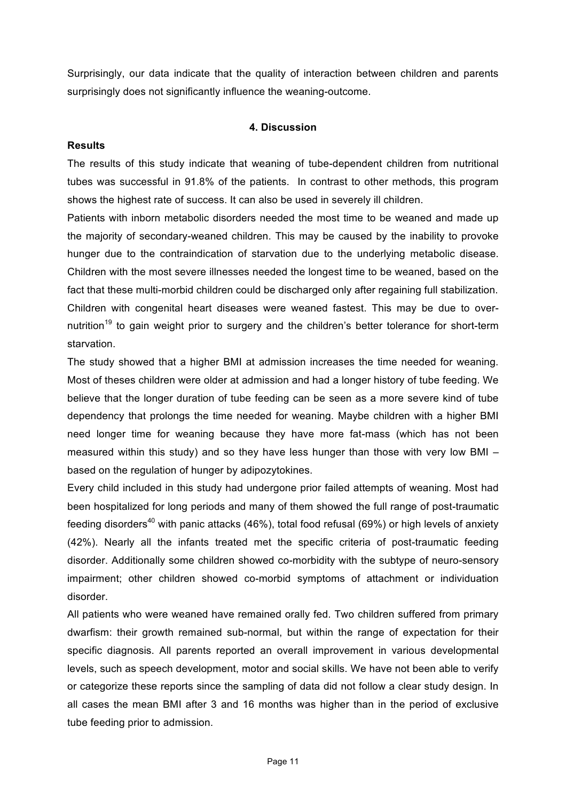Surprisingly, our data indicate that the quality of interaction between children and parents surprisingly does not significantly influence the weaning-outcome.

# **4. Discussion**

#### **Results**

The results of this study indicate that weaning of tube-dependent children from nutritional tubes was successful in 91.8% of the patients. In contrast to other methods, this program shows the highest rate of success. It can also be used in severely ill children.

Patients with inborn metabolic disorders needed the most time to be weaned and made up the majority of secondary-weaned children. This may be caused by the inability to provoke hunger due to the contraindication of starvation due to the underlying metabolic disease. Children with the most severe illnesses needed the longest time to be weaned, based on the fact that these multi-morbid children could be discharged only after regaining full stabilization. Children with congenital heart diseases were weaned fastest. This may be due to overnutrition<sup>19</sup> to gain weight prior to surgery and the children's better tolerance for short-term starvation.

The study showed that a higher BMI at admission increases the time needed for weaning. Most of theses children were older at admission and had a longer history of tube feeding. We believe that the longer duration of tube feeding can be seen as a more severe kind of tube dependency that prolongs the time needed for weaning. Maybe children with a higher BMI need longer time for weaning because they have more fat-mass (which has not been measured within this study) and so they have less hunger than those with very low BMI – based on the regulation of hunger by adipozytokines.

Every child included in this study had undergone prior failed attempts of weaning. Most had been hospitalized for long periods and many of them showed the full range of post-traumatic feeding disorders<sup>40</sup> with panic attacks (46%), total food refusal (69%) or high levels of anxiety (42%). Nearly all the infants treated met the specific criteria of post-traumatic feeding disorder. Additionally some children showed co-morbidity with the subtype of neuro-sensory impairment; other children showed co-morbid symptoms of attachment or individuation disorder.

All patients who were weaned have remained orally fed. Two children suffered from primary dwarfism: their growth remained sub-normal, but within the range of expectation for their specific diagnosis. All parents reported an overall improvement in various developmental levels, such as speech development, motor and social skills. We have not been able to verify or categorize these reports since the sampling of data did not follow a clear study design. In all cases the mean BMI after 3 and 16 months was higher than in the period of exclusive tube feeding prior to admission.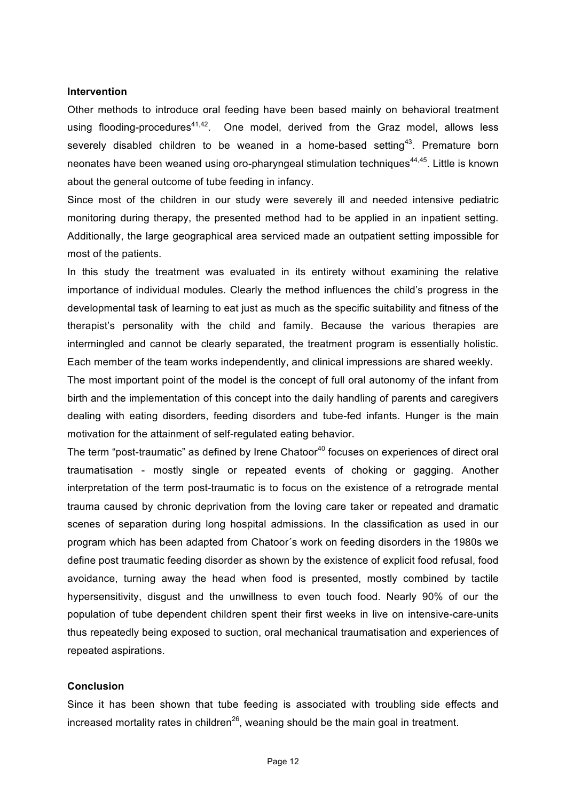#### **Intervention**

Other methods to introduce oral feeding have been based mainly on behavioral treatment using flooding-procedures<sup>41,42</sup>. One model, derived from the Graz model, allows less severely disabled children to be weaned in a home-based setting<sup>43</sup>. Premature born neonates have been weaned using oro-pharyngeal stimulation techniques<sup>44,45</sup>. Little is known about the general outcome of tube feeding in infancy.

Since most of the children in our study were severely ill and needed intensive pediatric monitoring during therapy, the presented method had to be applied in an inpatient setting. Additionally, the large geographical area serviced made an outpatient setting impossible for most of the patients.

In this study the treatment was evaluated in its entirety without examining the relative importance of individual modules. Clearly the method influences the child's progress in the developmental task of learning to eat just as much as the specific suitability and fitness of the therapist's personality with the child and family. Because the various therapies are intermingled and cannot be clearly separated, the treatment program is essentially holistic. Each member of the team works independently, and clinical impressions are shared weekly.

The most important point of the model is the concept of full oral autonomy of the infant from birth and the implementation of this concept into the daily handling of parents and caregivers dealing with eating disorders, feeding disorders and tube-fed infants. Hunger is the main motivation for the attainment of self-regulated eating behavior.

The term "post-traumatic" as defined by Irene Chatoor<sup>40</sup> focuses on experiences of direct oral traumatisation - mostly single or repeated events of choking or gagging. Another interpretation of the term post-traumatic is to focus on the existence of a retrograde mental trauma caused by chronic deprivation from the loving care taker or repeated and dramatic scenes of separation during long hospital admissions. In the classification as used in our program which has been adapted from Chatoor´s work on feeding disorders in the 1980s we define post traumatic feeding disorder as shown by the existence of explicit food refusal, food avoidance, turning away the head when food is presented, mostly combined by tactile hypersensitivity, disgust and the unwillness to even touch food. Nearly 90% of our the population of tube dependent children spent their first weeks in live on intensive-care-units thus repeatedly being exposed to suction, oral mechanical traumatisation and experiences of repeated aspirations.

#### **Conclusion**

Since it has been shown that tube feeding is associated with troubling side effects and increased mortality rates in children<sup>26</sup>, weaning should be the main goal in treatment.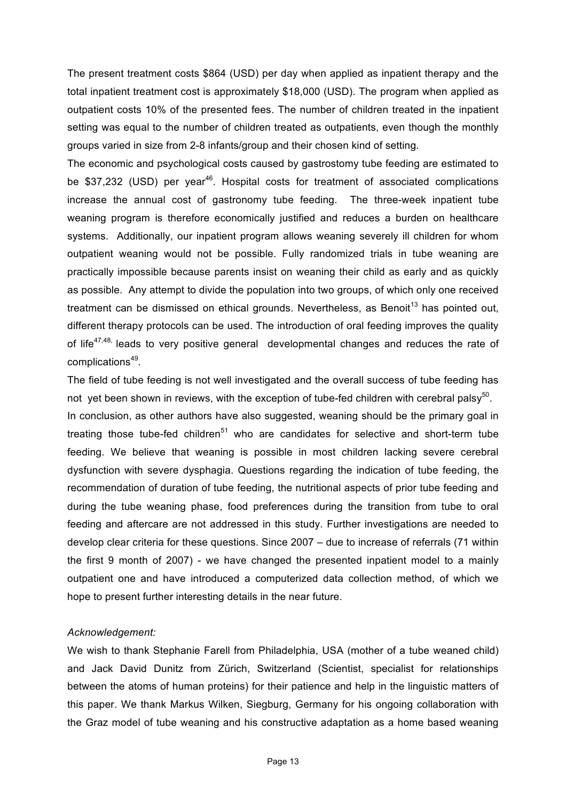The present treatment costs \$864 (USD) per day when applied as inpatient therapy and the total inpatient treatment cost is approximately \$18,000 (USD). The program when applied as outpatient costs 10% of the presented fees. The number of children treated in the inpatient setting was equal to the number of children treated as outpatients, even though the monthly groups varied in size from 2-8 infants/group and their chosen kind of setting.

The economic and psychological costs caused by gastrostomy tube feeding are estimated to be \$37,232 (USD) per year<sup>46</sup>. Hospital costs for treatment of associated complications increase the annual cost of gastronomy tube feeding. The three-week inpatient tube weaning program is therefore economically justified and reduces a burden on healthcare systems. Additionally, our inpatient program allows weaning severely ill children for whom outpatient weaning would not be possible. Fully randomized trials in tube weaning are practically impossible because parents insist on weaning their child as early and as quickly as possible. Any attempt to divide the population into two groups, of which only one received treatment can be dismissed on ethical grounds. Nevertheless, as Benoit<sup>13</sup> has pointed out, different therapy protocols can be used. The introduction of oral feeding improves the quality of life<sup>47,48,</sup> leads to very positive general developmental changes and reduces the rate of complications<sup>49</sup>.

The field of tube feeding is not well investigated and the overall success of tube feeding has not yet been shown in reviews, with the exception of tube-fed children with cerebral palsy<sup>50</sup>. In conclusion, as other authors have also suggested, weaning should be the primary goal in treating those tube-fed children $51$  who are candidates for selective and short-term tube feeding. We believe that weaning is possible in most children lacking severe cerebral dysfunction with severe dysphagia. Questions regarding the indication of tube feeding, the recommendation of duration of tube feeding, the nutritional aspects of prior tube feeding and during the tube weaning phase, food preferences during the transition from tube to oral feeding and aftercare are not addressed in this study. Further investigations are needed to develop clear criteria for these questions. Since 2007 – due to increase of referrals (71 within the first 9 month of 2007) - we have changed the presented inpatient model to a mainly outpatient one and have introduced a computerized data collection method, of which we hope to present further interesting details in the near future.

# *Acknowledgement:*

We wish to thank Stephanie Farell from Philadelphia, USA (mother of a tube weaned child) and Jack David Dunitz from Zürich, Switzerland (Scientist, specialist for relationships between the atoms of human proteins) for their patience and help in the linguistic matters of this paper. We thank Markus Wilken, Siegburg, Germany for his ongoing collaboration with the Graz model of tube weaning and his constructive adaptation as a home based weaning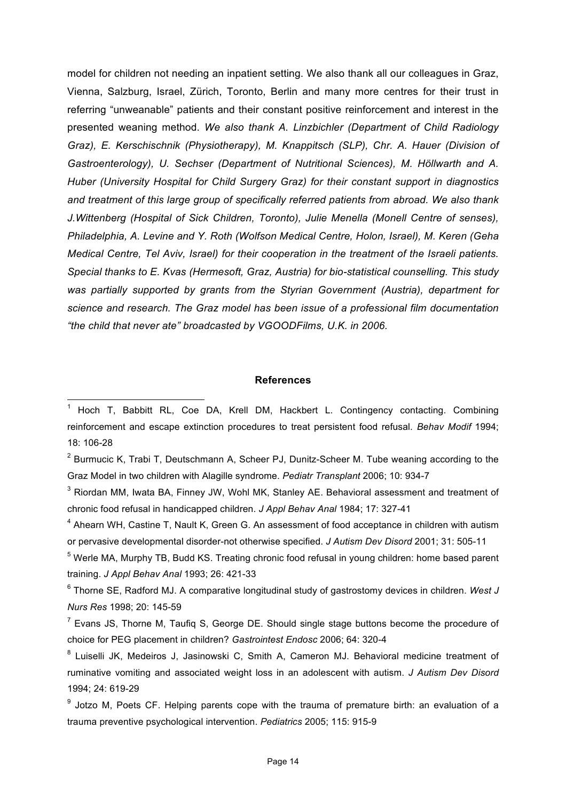model for children not needing an inpatient setting. We also thank all our colleagues in Graz, Vienna, Salzburg, Israel, Zürich, Toronto, Berlin and many more centres for their trust in referring "unweanable" patients and their constant positive reinforcement and interest in the presented weaning method. *We also thank A. Linzbichler (Department of Child Radiology Graz), E. Kerschischnik (Physiotherapy), M. Knappitsch (SLP), Chr. A. Hauer (Division of Gastroenterology), U. Sechser (Department of Nutritional Sciences), M. Höllwarth and A. Huber (University Hospital for Child Surgery Graz) for their constant support in diagnostics and treatment of this large group of specifically referred patients from abroad. We also thank J.Wittenberg (Hospital of Sick Children, Toronto), Julie Menella (Monell Centre of senses), Philadelphia, A. Levine and Y. Roth (Wolfson Medical Centre, Holon, Israel), M. Keren (Geha Medical Centre, Tel Aviv, Israel) for their cooperation in the treatment of the Israeli patients. Special thanks to E. Kvas (Hermesoft, Graz, Austria) for bio-statistical counselling. This study was partially supported by grants from the Styrian Government (Austria), department for science and research. The Graz model has been issue of a professional film documentation "the child that never ate" broadcasted by VGOODFilms, U.K. in 2006.* 

#### **References**

 $2$  Burmucic K, Trabi T, Deutschmann A, Scheer PJ, Dunitz-Scheer M. Tube weaning according to the Graz Model in two children with Alagille syndrome. *Pediatr Transplant* 2006; 10: 934-7

 $3$  Riordan MM, Iwata BA, Finney JW, Wohl MK, Stanley AE. Behavioral assessment and treatment of chronic food refusal in handicapped children. *J Appl Behav Anal* 1984; 17: 327-41

 $4$  Ahearn WH, Castine T, Nault K, Green G. An assessment of food acceptance in children with autism or pervasive developmental disorder-not otherwise specified. *J Autism Dev Disord* 2001; 31: 505-11

<sup>5</sup> Werle MA, Murphy TB, Budd KS. Treating chronic food refusal in young children: home based parent training. *J Appl Behav Anal* 1993; 26: 421-33

6 Thorne SE, Radford MJ. A comparative longitudinal study of gastrostomy devices in children. *West J Nurs Res* 1998; 20: 145-59

 $<sup>7</sup>$  Evans JS, Thorne M, Taufiq S, George DE. Should single stage buttons become the procedure of</sup> choice for PEG placement in children? *Gastrointest Endosc* 2006; 64: 320-4

<sup>8</sup> Luiselli JK, Medeiros J, Jasinowski C, Smith A, Cameron MJ. Behavioral medicine treatment of ruminative vomiting and associated weight loss in an adolescent with autism. *J Autism Dev Disord* 1994; 24: 619-29

<sup>9</sup> Jotzo M, Poets CF. Helping parents cope with the trauma of premature birth: an evaluation of a trauma preventive psychological intervention. *Pediatrics* 2005; 115: 915-9

<sup>&</sup>lt;u>nessen in the manual controlled the metal</u><br><sup>1</sup> Hoch T, Babbitt RL, Coe DA, Krell DM, Hackbert L. Contingency contacting. Combining reinforcement and escape extinction procedures to treat persistent food refusal. *Behav Modif* 1994; 18: 106-28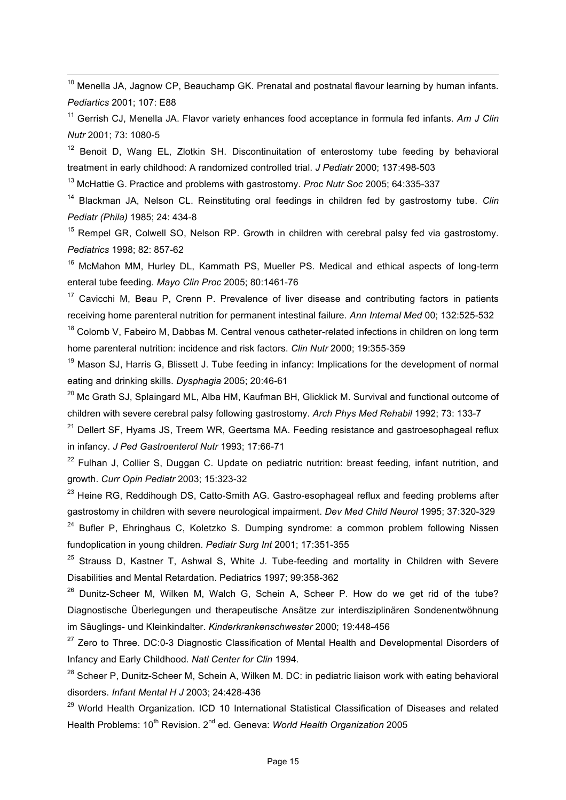$10$  Menella JA, Jagnow CP, Beauchamp GK. Prenatal and postnatal flavour learning by human infants. *Pediartics* 2001; 107: E88

11 Gerrish CJ, Menella JA. Flavor variety enhances food acceptance in formula fed infants. *Am J Clin Nutr* 2001; 73: 1080-5

 $12$  Benoit D, Wang EL, Zlotkin SH. Discontinuitation of enterostomy tube feeding by behavioral treatment in early childhood: A randomized controlled trial. *J Pediatr* 2000; 137:498-503

13 McHattie G. Practice and problems with gastrostomy. *Proc Nutr Soc* 2005; 64:335-337

14 Blackman JA, Nelson CL. Reinstituting oral feedings in children fed by gastrostomy tube. *Clin Pediatr (Phila)* 1985; 24: 434-8

<sup>15</sup> Rempel GR, Colwell SO, Nelson RP, Growth in children with cerebral palsy fed via gastrostomy. *Pediatrics* 1998; 82: 857-62

<sup>16</sup> McMahon MM, Hurley DL, Kammath PS, Mueller PS. Medical and ethical aspects of long-term enteral tube feeding. *Mayo Clin Proc* 2005; 80:1461-76

 $17$  Cavicchi M, Beau P, Crenn P. Prevalence of liver disease and contributing factors in patients receiving home parenteral nutrition for permanent intestinal failure. *Ann Internal Med* 00; 132:525-532

 $18$  Colomb V, Fabeiro M, Dabbas M, Central venous catheter-related infections in children on long term home parenteral nutrition: incidence and risk factors. *Clin Nutr* 2000; 19:355-359

 $19$  Mason SJ, Harris G, Blissett J. Tube feeding in infancy: Implications for the development of normal eating and drinking skills. *Dysphagia* 2005; 20:46-61

 $^{20}$  Mc Grath SJ, Splaingard ML, Alba HM, Kaufman BH, Glicklick M. Survival and functional outcome of children with severe cerebral palsy following gastrostomy. *Arch Phys Med Rehabil* 1992; 73: 133-7

 $21$  Dellert SF, Hyams JS, Treem WR, Geertsma MA. Feeding resistance and gastroesophageal reflux in infancy. *J Ped Gastroenterol Nutr* 1993; 17:66-71

 $22$  Fulhan J, Collier S, Duggan C. Update on pediatric nutrition: breast feeding, infant nutrition, and growth. *Curr Opin Pediatr* 2003; 15:323-32

<sup>23</sup> Heine RG, Reddihough DS, Catto-Smith AG. Gastro-esophageal reflux and feeding problems after gastrostomy in children with severe neurological impairment. *Dev Med Child Neurol* 1995; 37:320-329

 $24$  Bufler P, Ehringhaus C, Koletzko S. Dumping syndrome: a common problem following Nissen fundoplication in young children. *Pediatr Surg Int* 2001; 17:351-355

 $25$  Strauss D, Kastner T, Ashwal S, White J, Tube-feeding and mortality in Children with Severe Disabilities and Mental Retardation. Pediatrics 1997; 99:358-362

 $26$  Dunitz-Scheer M, Wilken M, Walch G, Schein A, Scheer P, How do we get rid of the tube? Diagnostische Überlegungen und therapeutische Ansätze zur interdisziplinären Sondenentwöhnung im Säuglings- und Kleinkindalter. *Kinderkrankenschwester* 2000; 19:448-456

<sup>27</sup> Zero to Three. DC:0-3 Diagnostic Classification of Mental Health and Developmental Disorders of Infancy and Early Childhood. *Natl Center for Clin* 1994.

<sup>28</sup> Scheer P, Dunitz-Scheer M, Schein A, Wilken M, DC; in pediatric liaison work with eating behavioral disorders. *Infant Mental H J* 2003; 24:428-436

<sup>29</sup> World Health Organization. ICD 10 International Statistical Classification of Diseases and related Health Problems: 10<sup>th</sup> Revision, 2<sup>nd</sup> ed. Geneva: *World Health Organization* 2005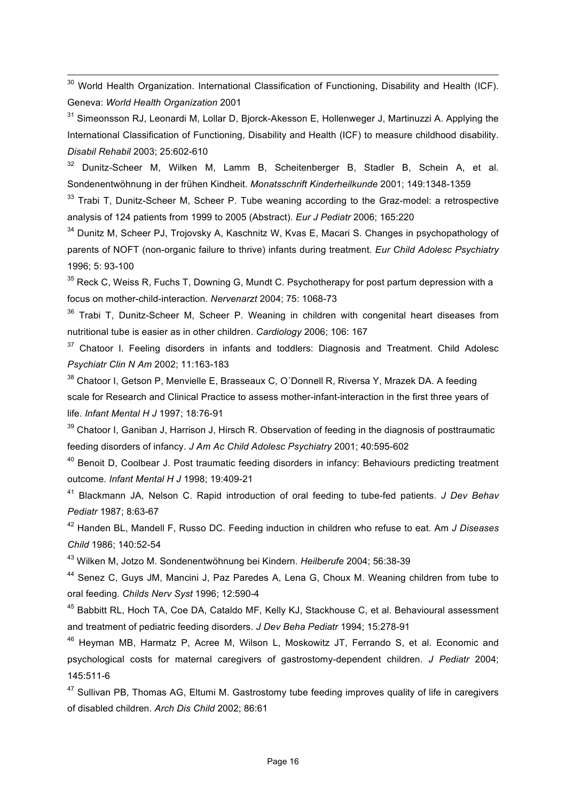<sup>30</sup> World Health Organization. International Classification of Functioning, Disability and Health (ICF). Geneva: *World Health Organization* 2001

<sup>31</sup> Simeonsson RJ, Leonardi M, Lollar D, Bjorck-Akesson E, Hollenweger J, Martinuzzi A. Applying the International Classification of Functioning, Disability and Health (ICF) to measure childhood disability. *Disabil Rehabil* 2003; 25:602-610

32 Dunitz-Scheer M, Wilken M, Lamm B, Scheitenberger B, Stadler B, Schein A, et al. Sondenentwöhnung in der frühen Kindheit. *Monatsschrift Kinderheilkunde* 2001; 149:1348-1359

 $33$  Trabi T, Dunitz-Scheer M, Scheer P. Tube weaning according to the Graz-model: a retrospective analysis of 124 patients from 1999 to 2005 (Abstract). *Eur J Pediatr* 2006; 165:220

<sup>34</sup> Dunitz M, Scheer PJ, Trojovsky A, Kaschnitz W, Kvas E, Macari S. Changes in psychopathology of parents of NOFT (non-organic failure to thrive) infants during treatment. *Eur Child Adolesc Psychiatry* 1996; 5: 93-100

 $35$  Reck C, Weiss R, Fuchs T, Downing G, Mundt C. Psychotherapy for post partum depression with a focus on mother-child-interaction. *Nervenarzt* 2004; 75: 1068-73

 $36$  Trabi T, Dunitz-Scheer M, Scheer P, Weaning in children with congenital heart diseases from nutritional tube is easier as in other children. *Cardiology* 2006; 106: 167

 $37$  Chatoor I. Feeling disorders in infants and toddlers: Diagnosis and Treatment. Child Adolesc *Psychiatr Clin N Am* 2002; 11:163-183

<sup>38</sup> Chatoor I, Getson P, Menvielle E, Brasseaux C, O'Donnell R, Riversa Y, Mrazek DA. A feeding scale for Research and Clinical Practice to assess mother-infant-interaction in the first three years of life. *Infant Mental H J* 1997; 18:76-91

<sup>39</sup> Chatoor I, Ganiban J, Harrison J, Hirsch R, Observation of feeding in the diagnosis of posttraumatic feeding disorders of infancy. *J Am Ac Child Adolesc Psychiatry* 2001; 40:595-602

<sup>40</sup> Benoit D, Coolbear J. Post traumatic feeding disorders in infancy: Behaviours predicting treatment outcome. *Infant Mental H J* 1998; 19:409-21

41 Blackmann JA, Nelson C. Rapid introduction of oral feeding to tube-fed patients. *J Dev Behav Pediatr* 1987; 8:63-67

42 Handen BL, Mandell F, Russo DC. Feeding induction in children who refuse to eat. Am *J Diseases Child* 1986; 140:52-54

43 Wilken M, Jotzo M. Sondenentwöhnung bei Kindern. *Heilberufe* 2004; 56:38-39

44 Senez C, Guys JM, Mancini J, Paz Paredes A, Lena G, Choux M. Weaning children from tube to oral feeding. *Childs Nerv Syst* 1996; 12:590-4

45 Babbitt RL, Hoch TA, Coe DA, Cataldo MF, Kelly KJ, Stackhouse C, et al. Behavioural assessment and treatment of pediatric feeding disorders. *J Dev Beha Pediatr* 1994; 15:278-91

46 Heyman MB, Harmatz P, Acree M, Wilson L, Moskowitz JT, Ferrando S, et al. Economic and psychological costs for maternal caregivers of gastrostomy-dependent children. *J Pediatr* 2004; 145:511-6

<sup>47</sup> Sullivan PB, Thomas AG, Eltumi M. Gastrostomy tube feeding improves quality of life in caregivers of disabled children. *Arch Dis Child* 2002; 86:61